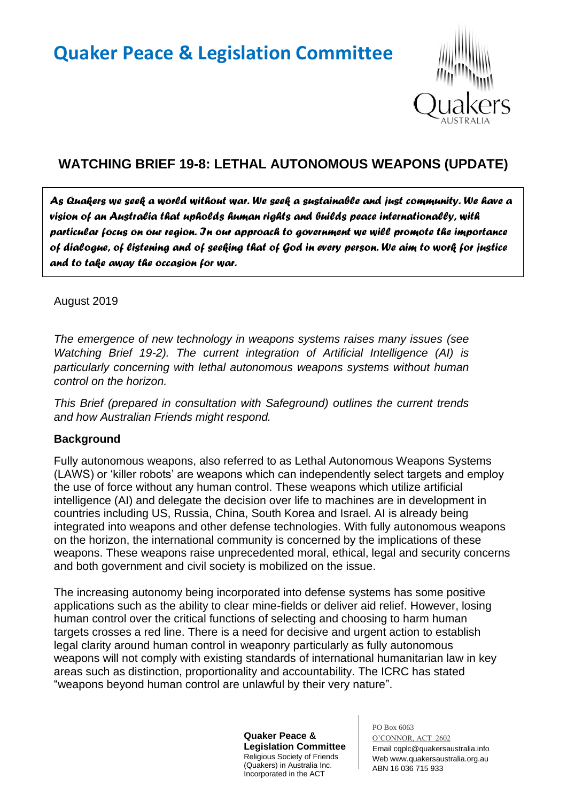

# **WATCHING BRIEF 19-8: LETHAL AUTONOMOUS WEAPONS (UPDATE)**

*As Quakers we seek a world without war. We seek a sustainable and just community. We have a vision of an Australia that upholds human rights and builds peace internationally, with particular focus on our region. In our approach to government we will promote the importance of dialogue, of listening and of seeking that of God in every person. We aim to work for justice and to take away the occasion for war.* 

### August 2019

*The emergence of new technology in weapons systems raises many issues (see Watching Brief 19-2). The current integration of Artificial Intelligence (AI) is particularly concerning with lethal autonomous weapons systems without human control on the horizon.*

*This Brief (prepared in consultation with Safeground) outlines the current trends and how Australian Friends might respond.*

### **Background**

Fully autonomous weapons, also referred to as Lethal Autonomous Weapons Systems (LAWS) or 'killer robots' are weapons which can independently select targets and employ the use of force without any human control. These weapons which utilize artificial intelligence (AI) and delegate the decision over life to machines are in development in countries including US, Russia, China, South Korea and Israel. AI is already being integrated into weapons and other defense technologies. With fully autonomous weapons on the horizon, the international community is concerned by the implications of these weapons. These weapons raise unprecedented moral, ethical, legal and security concerns and both government and civil society is mobilized on the issue.

The increasing autonomy being incorporated into defense systems has some positive applications such as the ability to clear mine-fields or deliver aid relief. However, losing human control over the critical functions of selecting and choosing to harm human targets crosses a red line. There is a need for decisive and urgent action to establish legal clarity around human control in weaponry particularly as fully autonomous weapons will not comply with existing standards of international humanitarian law in key areas such as distinction, proportionality and accountability. The ICRC has stated "weapons beyond human control are unlawful by their very nature".

> **Quaker Peace & Legislation Committee** Religious Society of Friends (Quakers) in Australia Inc. Incorporated in the ACT

PO Box 6063 O'CONNOR, ACT 2602 Email cqplc@quakersaustralia.info Web www.quakersaustralia.org.au ABN 16 036 715 933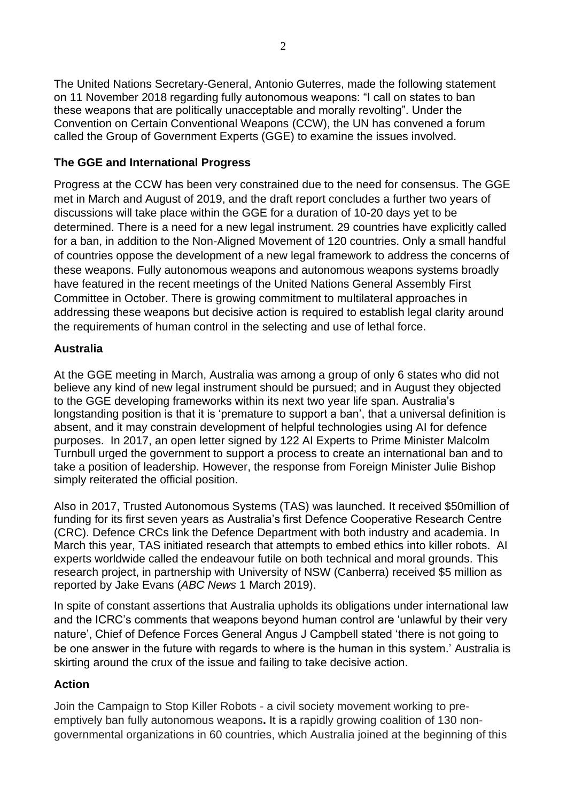The United Nations Secretary-General, Antonio Guterres, made the following statement on 11 November 2018 regarding fully autonomous weapons: "I call on states to ban these weapons that are politically unacceptable and morally revolting". Under the Convention on Certain Conventional Weapons (CCW), the UN has convened a forum called the Group of Government Experts (GGE) to examine the issues involved.

# **The GGE and International Progress**

Progress at the CCW has been very constrained due to the need for consensus. The GGE met in March and August of 2019, and the draft report concludes a further two years of discussions will take place within the GGE for a duration of 10-20 days yet to be determined. There is a need for a new legal instrument. 29 countries have explicitly called for a ban, in addition to the Non-Aligned Movement of 120 countries. Only a small handful of countries oppose the development of a new legal framework to address the concerns of these weapons. Fully autonomous weapons and autonomous weapons systems broadly have featured in the recent meetings of the United Nations General Assembly First Committee in October. There is growing commitment to multilateral approaches in addressing these weapons but decisive action is required to establish legal clarity around the requirements of human control in the selecting and use of lethal force.

## **Australia**

At the GGE meeting in March, Australia was among a group of only 6 states who did not believe any kind of new legal instrument should be pursued; and in August they objected to the GGE developing frameworks within its next two year life span. Australia's longstanding position is that it is 'premature to support a ban', that a universal definition is absent, and it may constrain development of helpful technologies using AI for defence purposes. In 2017, an open letter signed by 122 AI Experts to Prime Minister Malcolm Turnbull urged the government to support a process to create an international ban and to take a position of leadership. However, the response from Foreign Minister Julie Bishop simply reiterated the official position.

Also in 2017, Trusted Autonomous Systems (TAS) was launched. It received \$50million of funding for its first seven years as Australia's first Defence Cooperative Research Centre (CRC). Defence CRCs link the Defence Department with both industry and academia. In March this year, TAS initiated research that attempts to embed ethics into killer robots. AI experts worldwide called the endeavour futile on both technical and moral grounds. This research project, in partnership with University of NSW (Canberra) received \$5 million as reported by Jake Evans (*ABC News* 1 March 2019).

In spite of constant assertions that Australia upholds its obligations under international law and the ICRC's comments that weapons beyond human control are 'unlawful by their very nature', Chief of Defence Forces General Angus J Campbell stated 'there is not going to be one answer in the future with regards to where is the human in this system.' Australia is skirting around the crux of the issue and failing to take decisive action.

## **Action**

Join the Campaign to Stop Killer Robots - a civil society movement working to preemptively ban fully autonomous weapons**.** It is a rapidly growing coalition of 130 nongovernmental organizations in 60 countries, which Australia joined at the beginning of this